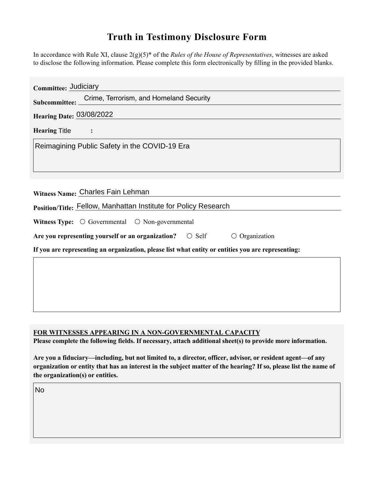## **Truth in Testimony Disclosure Form**

In accordance with Rule XI, clause 2(g)(5)\* of the *Rules of the House of Representatives*, witnesses are asked to disclose the following information. Please complete this form electronically by flling in the provided blanks.

| Committee:                                                                                         |  |
|----------------------------------------------------------------------------------------------------|--|
| Crime, Terrorism, and Homeland Security<br>Subcommittee: _                                         |  |
| <b>Hearing Date: 03/08/2022</b>                                                                    |  |
| HearingTitle                                                                                       |  |
| Reimagining Public Safety in the COVID-19 Era                                                      |  |
| Witness Name: Charles Fain Lehman                                                                  |  |
| Position/Title: Fellow, Manhattan Institute for Policy Research                                    |  |
| Witness Type: $\bigcirc$ Governmental $\bigcirc$ Non-governmental                                  |  |
| Are you representing yourself or an organization? © Self<br>© Organization                         |  |
| If you are representing an organization, please list what entity or entities you are representing: |  |
|                                                                                                    |  |
|                                                                                                    |  |
|                                                                                                    |  |

## **FOR WITNESSES APPEARING IN A NON-GOVERNMENTAL CAPACITY**

Please complete the following fields. If necessary, attach additional sheet(s) to provide more information.

**Are you a fiduciary—including, but not limited to, a director, officer, advisor, or resident agent—of any organization or entity that has an interest in the subject matter of the hearing? If so, please list the name of the organization(s) or entities.**

No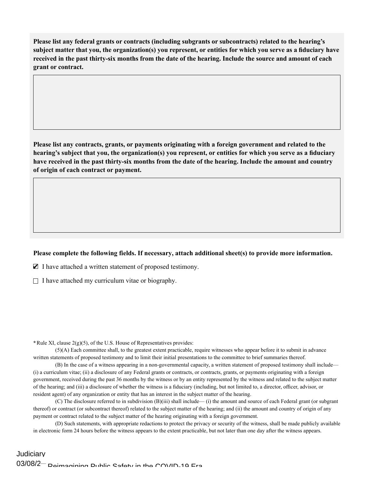**Please list any federal grants or contracts (including subgrants or subcontracts) related to the hearing's subject matter that you, the organization(s) you represent, or entities for which you serve as a fduciary have received in the past thirty-six months from the date of the hearing. Include the source and amount of each grant or contract.** 

**Please list any contracts, grants or payments originating with a foreign government and related to the hearing's subject that you, the organization(s) you represent, or entities for which you serve as a fduciary have received in the past thirty-six months from the date of the hearing. Include the amount and country of origin of each contract or payment.** 

## Please complete the following fields. If necessary, attach additional sheet(s) to provide more information.

 $\Box$  I have attached a written statement of proposed testimony.

 $\Box$  I have attached my curriculum vitae or biography.

**\***Rule XI, clause 2(g)(5), of the U.S. House of Representatives provides:

(5)(A) Each committee shall, to the greatest extent practicable, require witnesses who appear before it to submit in advance written statements of proposed testimony and to limit their initial presentations to the committee to brief summaries thereof.

(B) In the case of a witness appearing in a non-governmental capacity, a written statement of proposed testimony shall include— (i) a curriculum vitae; (ii) a disclosure of any Federal grants or contracts, or contracts, grants, or payments originating with a foreign government, received during the past 36 months by the witness or by an entity represented by the witness and related to the subject matter of the hearing; and (iii) a disclosure of whether the witness is a fiduciary (including, but not limited to, a director, officer, advisor, or resident agent) of any organization or entity that has an interest in the subject matter of the hearing.

(C) The disclosure referred to in subdivision (B)(iii) shall include— (i) the amount and source of each Federal grant (or subgrant thereof) or contract (or subcontract thereof) related to the subject matter of the hearing; and (ii) the amount and country of origin of any payment or contract related to the subject matter of the hearing originating with a foreign government.

(D) Such statements, with appropriate redactions to protect the privacy or security of the witness, shall be made publicly available in electronic form 24 hours before the witness appears to the extent practicable, but not later than one day after the witness appears.